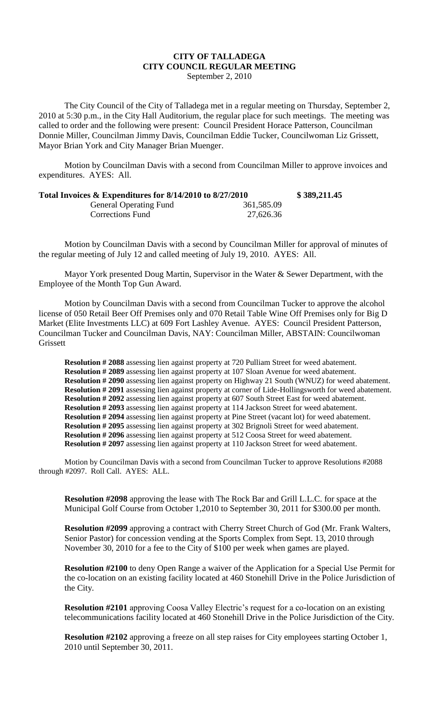## **CITY OF TALLADEGA CITY COUNCIL REGULAR MEETING** September 2, 2010

The City Council of the City of Talladega met in a regular meeting on Thursday, September 2, 2010 at 5:30 p.m., in the City Hall Auditorium, the regular place for such meetings. The meeting was called to order and the following were present: Council President Horace Patterson, Councilman Donnie Miller, Councilman Jimmy Davis, Councilman Eddie Tucker, Councilwoman Liz Grissett, Mayor Brian York and City Manager Brian Muenger.

Motion by Councilman Davis with a second from Councilman Miller to approve invoices and expenditures. AYES: All.

| Total Invoices & Expenditures for 8/14/2010 to 8/27/2010 |            | \$389,211.45 |
|----------------------------------------------------------|------------|--------------|
| <b>General Operating Fund</b>                            | 361,585.09 |              |
| Corrections Fund                                         | 27,626.36  |              |

Motion by Councilman Davis with a second by Councilman Miller for approval of minutes of the regular meeting of July 12 and called meeting of July 19, 2010. AYES: All.

Mayor York presented Doug Martin, Supervisor in the Water & Sewer Department, with the Employee of the Month Top Gun Award.

Motion by Councilman Davis with a second from Councilman Tucker to approve the alcohol license of 050 Retail Beer Off Premises only and 070 Retail Table Wine Off Premises only for Big D Market (Elite Investments LLC) at 609 Fort Lashley Avenue. AYES: Council President Patterson, Councilman Tucker and Councilman Davis, NAY: Councilman Miller, ABSTAIN: Councilwoman Grissett

**Resolution # 2088** assessing lien against property at 720 Pulliam Street for weed abatement. **Resolution # 2089** assessing lien against property at 107 Sloan Avenue for weed abatement. **Resolution # 2090** assessing lien against property on Highway 21 South (WNUZ) for weed abatement. **Resolution # 2091** assessing lien against property at corner of Lide-Hollingsworth for weed abatement. **Resolution # 2092** assessing lien against property at 607 South Street East for weed abatement. **Resolution # 2093** assessing lien against property at 114 Jackson Street for weed abatement. **Resolution # 2094** assessing lien against property at Pine Street (vacant lot) for weed abatement. **Resolution # 2095** assessing lien against property at 302 Brignoli Street for weed abatement. **Resolution # 2096** assessing lien against property at 512 Coosa Street for weed abatement. **Resolution # 2097** assessing lien against property at 110 Jackson Street for weed abatement.

Motion by Councilman Davis with a second from Councilman Tucker to approve Resolutions #2088 through #2097. Roll Call. AYES: ALL.

**Resolution #2098** approving the lease with The Rock Bar and Grill L.L.C. for space at the Municipal Golf Course from October 1,2010 to September 30, 2011 for \$300.00 per month.

**Resolution #2099** approving a contract with Cherry Street Church of God (Mr. Frank Walters, Senior Pastor) for concession vending at the Sports Complex from Sept. 13, 2010 through November 30, 2010 for a fee to the City of \$100 per week when games are played.

**Resolution #2100** to deny Open Range a waiver of the Application for a Special Use Permit for the co-location on an existing facility located at 460 Stonehill Drive in the Police Jurisdiction of the City.

**Resolution #2101** approving Coosa Valley Electric's request for a co-location on an existing telecommunications facility located at 460 Stonehill Drive in the Police Jurisdiction of the City.

**Resolution #2102** approving a freeze on all step raises for City employees starting October 1, 2010 until September 30, 2011.